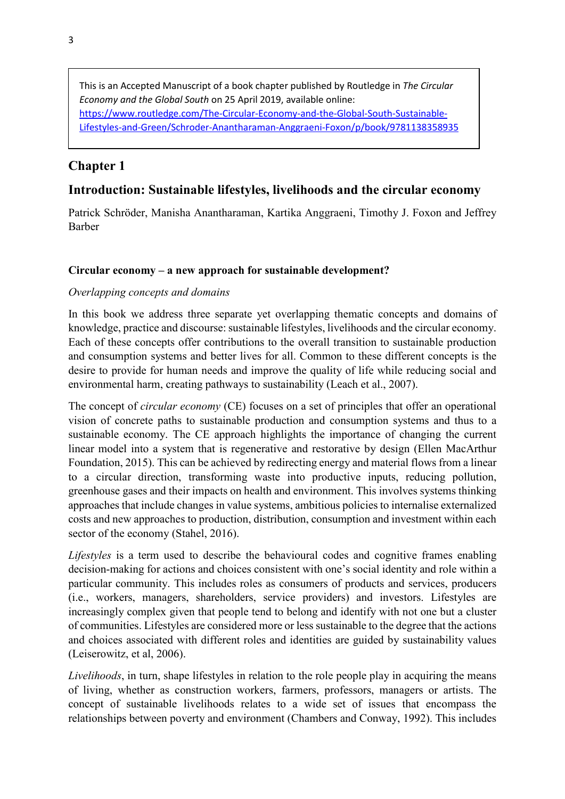This is an Accepted Manuscript of a book chapter published by Routledge in *The Circular Economy and the Global South* on 25 April 2019, available online: [https://www.routledge.com/The-Circular-Economy-and-the-Global-South-Sustainable-](https://www.routledge.com/The-Circular-Economy-and-the-Global-South-Sustainable-Lifestyles-and-Green/Schroder-Anantharaman-Anggraeni-Foxon/p/book/9781138358935)[Lifestyles-and-Green/Schroder-Anantharaman-Anggraeni-Foxon/p/book/9781138358935](https://www.routledge.com/The-Circular-Economy-and-the-Global-South-Sustainable-Lifestyles-and-Green/Schroder-Anantharaman-Anggraeni-Foxon/p/book/9781138358935)

# **Chapter 1**

# **Introduction: Sustainable lifestyles, livelihoods and the circular economy**

Patrick Schröder, Manisha Anantharaman, Kartika Anggraeni, Timothy J. Foxon and Jeffrey Barber

### **Circular economy – a new approach for sustainable development?**

#### *Overlapping concepts and domains*

In this book we address three separate yet overlapping thematic concepts and domains of knowledge, practice and discourse: sustainable lifestyles, livelihoods and the circular economy. Each of these concepts offer contributions to the overall transition to sustainable production and consumption systems and better lives for all. Common to these different concepts is the desire to provide for human needs and improve the quality of life while reducing social and environmental harm, creating pathways to sustainability (Leach et al., 2007).

The concept of *circular economy* (CE) focuses on a set of principles that offer an operational vision of concrete paths to sustainable production and consumption systems and thus to a sustainable economy. The CE approach highlights the importance of changing the current linear model into a system that is regenerative and restorative by design (Ellen MacArthur Foundation, 2015). This can be achieved by redirecting energy and material flows from a linear to a circular direction, transforming waste into productive inputs, reducing pollution, greenhouse gases and their impacts on health and environment. This involves systems thinking approaches that include changes in value systems, ambitious policies to internalise externalized costs and new approaches to production, distribution, consumption and investment within each sector of the economy (Stahel, 2016).

*Lifestyles* is a term used to describe the behavioural codes and cognitive frames enabling decision-making for actions and choices consistent with one's social identity and role within a particular community. This includes roles as consumers of products and services, producers (i.e., workers, managers, shareholders, service providers) and investors. Lifestyles are increasingly complex given that people tend to belong and identify with not one but a cluster of communities. Lifestyles are considered more or less sustainable to the degree that the actions and choices associated with different roles and identities are guided by sustainability values (Leiserowitz, et al, 2006).

*Livelihoods*, in turn, shape lifestyles in relation to the role people play in acquiring the means of living, whether as construction workers, farmers, professors, managers or artists. The concept of sustainable livelihoods relates to a wide set of issues that encompass the relationships between poverty and environment (Chambers and Conway, 1992). This includes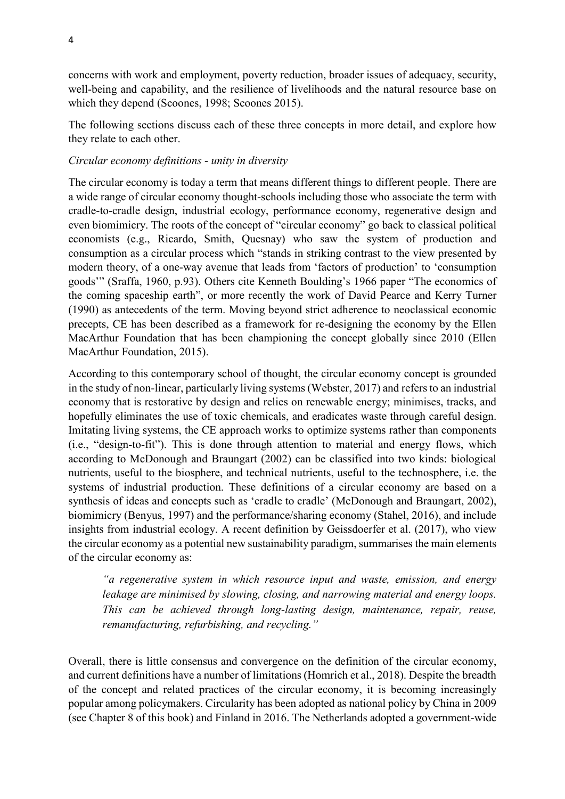concerns with work and employment, poverty reduction, broader issues of adequacy, security, well-being and capability, and the resilience of livelihoods and the natural resource base on which they depend (Scoones, 1998; Scoones 2015).

The following sections discuss each of these three concepts in more detail, and explore how they relate to each other.

### *Circular economy definitions - unity in diversity*

The circular economy is today a term that means different things to different people. There are a wide range of circular economy thought-schools including those who associate the term with cradle-to-cradle design, industrial ecology, performance economy, regenerative design and even biomimicry. The roots of the concept of "circular economy" go back to classical political economists (e.g., Ricardo, Smith, Quesnay) who saw the system of production and consumption as a circular process which "stands in striking contrast to the view presented by modern theory, of a one-way avenue that leads from 'factors of production' to 'consumption goods'" (Sraffa, 1960, p.93). Others cite Kenneth Boulding's 1966 paper "The economics of the coming spaceship earth", or more recently the work of David Pearce and Kerry Turner (1990) as antecedents of the term. Moving beyond strict adherence to neoclassical economic precepts, CE has been described as a framework for re-designing the economy by the Ellen MacArthur Foundation that has been championing the concept globally since 2010 (Ellen MacArthur Foundation, 2015).

According to this contemporary school of thought, the circular economy concept is grounded in the study of non-linear, particularly living systems (Webster, 2017) and refers to an industrial economy that is restorative by design and relies on renewable energy; minimises, tracks, and hopefully eliminates the use of toxic chemicals, and eradicates waste through careful design. Imitating living systems, the CE approach works to optimize systems rather than components (i.e., "design-to-fit"). This is done through attention to material and energy flows, which according to McDonough and Braungart (2002) can be classified into two kinds: biological nutrients, useful to the biosphere, and technical nutrients, useful to the technosphere, i.e. the systems of industrial production. These definitions of a circular economy are based on a synthesis of ideas and concepts such as 'cradle to cradle' (McDonough and Braungart, 2002), biomimicry (Benyus, 1997) and the performance/sharing economy (Stahel, 2016), and include insights from industrial ecology. A recent definition by Geissdoerfer et al. (2017), who view the circular economy as a potential new sustainability paradigm, summarises the main elements of the circular economy as:

*"a regenerative system in which resource input and waste, emission, and energy leakage are minimised by slowing, closing, and narrowing material and energy loops. This can be achieved through long-lasting design, maintenance, repair, reuse, remanufacturing, refurbishing, and recycling."*

Overall, there is little consensus and convergence on the definition of the circular economy, and current definitions have a number of limitations (Homrich et al., 2018). Despite the breadth of the concept and related practices of the circular economy, it is becoming increasingly popular among policymakers. Circularity has been adopted as national policy by China in 2009 (see Chapter 8 of this book) and Finland in 2016. The Netherlands adopted a government-wide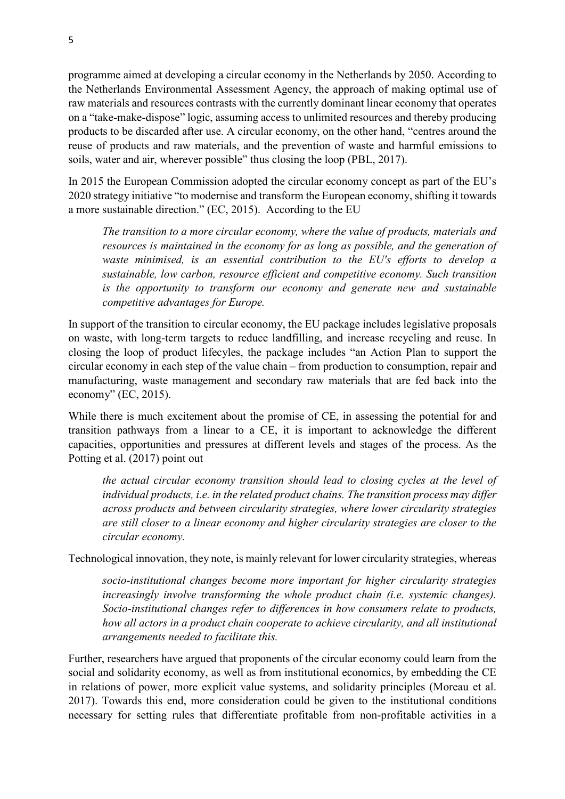programme aimed at developing a circular economy in the Netherlands by 2050. According to the Netherlands Environmental Assessment Agency, the approach of making optimal use of raw materials and resources contrasts with the currently dominant linear economy that operates on a "take-make-dispose" logic, assuming access to unlimited resources and thereby producing products to be discarded after use. A circular economy, on the other hand, "centres around the reuse of products and raw materials, and the prevention of waste and harmful emissions to soils, water and air, wherever possible" thus closing the loop (PBL, 2017).

In 2015 the European Commission adopted the circular economy concept as part of the EU's 2020 strategy initiative "to modernise and transform the European economy, shifting it towards a more sustainable direction." (EC, 2015). According to the EU

*The transition to a more circular economy, where the value of products, materials and resources is maintained in the economy for as long as possible, and the generation of waste minimised, is an essential contribution to the EU's efforts to develop a sustainable, low carbon, resource efficient and competitive economy. Such transition is the opportunity to transform our economy and generate new and sustainable competitive advantages for Europe.*

In support of the transition to circular economy, the EU package includes legislative proposals on waste, with long-term targets to reduce landfilling, and increase recycling and reuse. In closing the loop of product lifecyles, the package includes "an Action Plan to support the circular economy in each step of the value chain – from production to consumption, repair and manufacturing, waste management and secondary raw materials that are fed back into the economy" (EC, 2015).

While there is much excitement about the promise of CE, in assessing the potential for and transition pathways from a linear to a CE, it is important to acknowledge the different capacities, opportunities and pressures at different levels and stages of the process. As the Potting et al. (2017) point out

*the actual circular economy transition should lead to closing cycles at the level of individual products, i.e. in the related product chains. The transition process may differ across products and between circularity strategies, where lower circularity strategies are still closer to a linear economy and higher circularity strategies are closer to the circular economy.*

Technological innovation, they note, is mainly relevant for lower circularity strategies, whereas

*socio-institutional changes become more important for higher circularity strategies increasingly involve transforming the whole product chain (i.e. systemic changes). Socio-institutional changes refer to differences in how consumers relate to products, how all actors in a product chain cooperate to achieve circularity, and all institutional arrangements needed to facilitate this.*

Further, researchers have argued that proponents of the circular economy could learn from the social and solidarity economy, as well as from institutional economics, by embedding the CE in relations of power, more explicit value systems, and solidarity principles (Moreau et al. 2017). Towards this end, more consideration could be given to the institutional conditions necessary for setting rules that differentiate profitable from non-profitable activities in a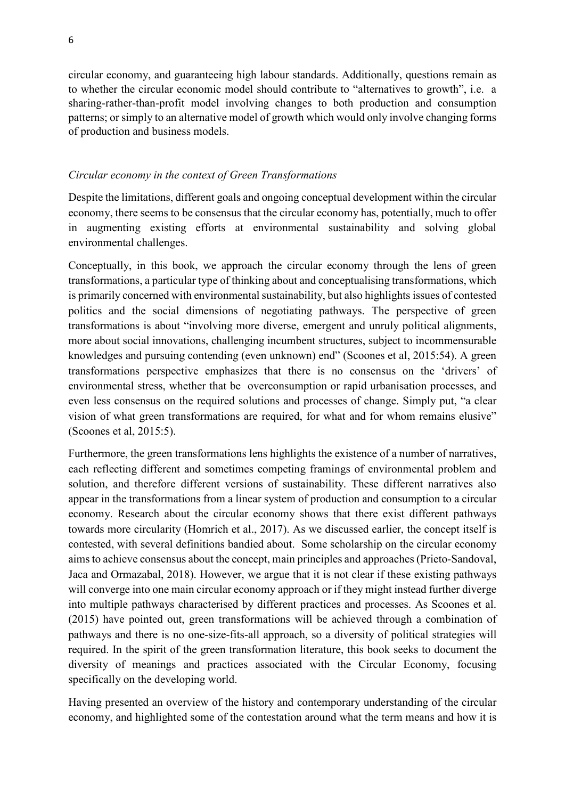circular economy, and guaranteeing high labour standards. Additionally, questions remain as to whether the circular economic model should contribute to "alternatives to growth", i.e. a sharing-rather-than-profit model involving changes to both production and consumption patterns; or simply to an alternative model of growth which would only involve changing forms of production and business models.

#### *Circular economy in the context of Green Transformations*

Despite the limitations, different goals and ongoing conceptual development within the circular economy, there seems to be consensus that the circular economy has, potentially, much to offer in augmenting existing efforts at environmental sustainability and solving global environmental challenges.

Conceptually, in this book, we approach the circular economy through the lens of green transformations, a particular type of thinking about and conceptualising transformations, which is primarily concerned with environmental sustainability, but also highlights issues of contested politics and the social dimensions of negotiating pathways. The perspective of green transformations is about "involving more diverse, emergent and unruly political alignments, more about social innovations, challenging incumbent structures, subject to incommensurable knowledges and pursuing contending (even unknown) end" (Scoones et al, 2015:54). A green transformations perspective emphasizes that there is no consensus on the 'drivers' of environmental stress, whether that be overconsumption or rapid urbanisation processes, and even less consensus on the required solutions and processes of change. Simply put, "a clear vision of what green transformations are required, for what and for whom remains elusive" (Scoones et al, 2015:5).

Furthermore, the green transformations lens highlights the existence of a number of narratives, each reflecting different and sometimes competing framings of environmental problem and solution, and therefore different versions of sustainability. These different narratives also appear in the transformations from a linear system of production and consumption to a circular economy. Research about the circular economy shows that there exist different pathways towards more circularity (Homrich et al., 2017). As we discussed earlier, the concept itself is contested, with several definitions bandied about. Some scholarship on the circular economy aims to achieve consensus about the concept, main principles and approaches (Prieto-Sandoval, Jaca and Ormazabal, 2018). However, we argue that it is not clear if these existing pathways will converge into one main circular economy approach or if they might instead further diverge into multiple pathways characterised by different practices and processes. As Scoones et al. (2015) have pointed out, green transformations will be achieved through a combination of pathways and there is no one-size-fits-all approach, so a diversity of political strategies will required. In the spirit of the green transformation literature, this book seeks to document the diversity of meanings and practices associated with the Circular Economy, focusing specifically on the developing world.

Having presented an overview of the history and contemporary understanding of the circular economy, and highlighted some of the contestation around what the term means and how it is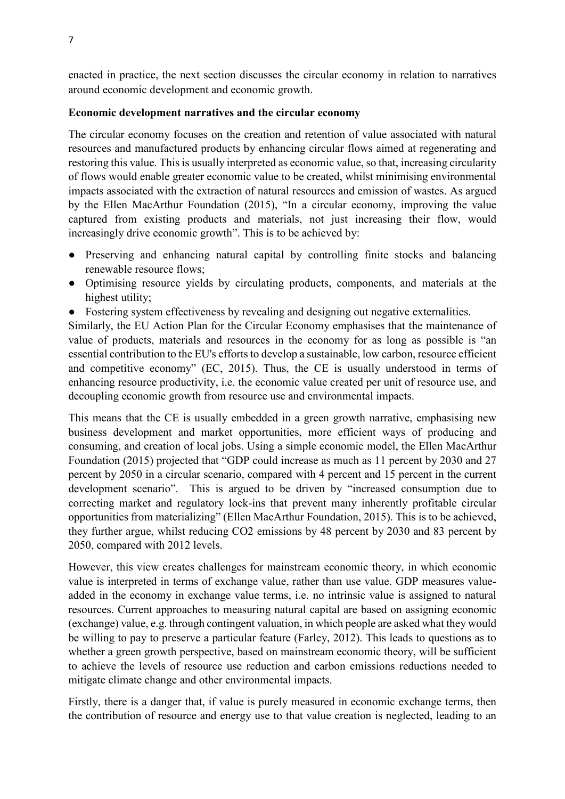enacted in practice, the next section discusses the circular economy in relation to narratives around economic development and economic growth.

### **Economic development narratives and the circular economy**

The circular economy focuses on the creation and retention of value associated with natural resources and manufactured products by enhancing circular flows aimed at regenerating and restoring this value. This is usually interpreted as economic value, so that, increasing circularity of flows would enable greater economic value to be created, whilst minimising environmental impacts associated with the extraction of natural resources and emission of wastes. As argued by the Ellen MacArthur Foundation (2015), "In a circular economy, improving the value captured from existing products and materials, not just increasing their flow, would increasingly drive economic growth". This is to be achieved by:

- Preserving and enhancing natural capital by controlling finite stocks and balancing renewable resource flows;
- Optimising resource yields by circulating products, components, and materials at the highest utility;
- Fostering system effectiveness by revealing and designing out negative externalities.

Similarly, the EU Action Plan for the Circular Economy emphasises that the maintenance of value of products, materials and resources in the economy for as long as possible is "an essential contribution to the EU's efforts to develop a sustainable, low carbon, resource efficient and competitive economy" (EC, 2015). Thus, the CE is usually understood in terms of enhancing resource productivity, i.e. the economic value created per unit of resource use, and decoupling economic growth from resource use and environmental impacts.

This means that the CE is usually embedded in a green growth narrative, emphasising new business development and market opportunities, more efficient ways of producing and consuming, and creation of local jobs. Using a simple economic model, the Ellen MacArthur Foundation (2015) projected that "GDP could increase as much as 11 percent by 2030 and 27 percent by 2050 in a circular scenario, compared with 4 percent and 15 percent in the current development scenario". This is argued to be driven by "increased consumption due to correcting market and regulatory lock-ins that prevent many inherently profitable circular opportunities from materializing" (Ellen MacArthur Foundation, 2015). This is to be achieved, they further argue, whilst reducing CO2 emissions by 48 percent by 2030 and 83 percent by 2050, compared with 2012 levels.

However, this view creates challenges for mainstream economic theory, in which economic value is interpreted in terms of exchange value, rather than use value. GDP measures valueadded in the economy in exchange value terms, i.e. no intrinsic value is assigned to natural resources. Current approaches to measuring natural capital are based on assigning economic (exchange) value, e.g. through contingent valuation, in which people are asked what they would be willing to pay to preserve a particular feature (Farley, 2012). This leads to questions as to whether a green growth perspective, based on mainstream economic theory, will be sufficient to achieve the levels of resource use reduction and carbon emissions reductions needed to mitigate climate change and other environmental impacts.

Firstly, there is a danger that, if value is purely measured in economic exchange terms, then the contribution of resource and energy use to that value creation is neglected, leading to an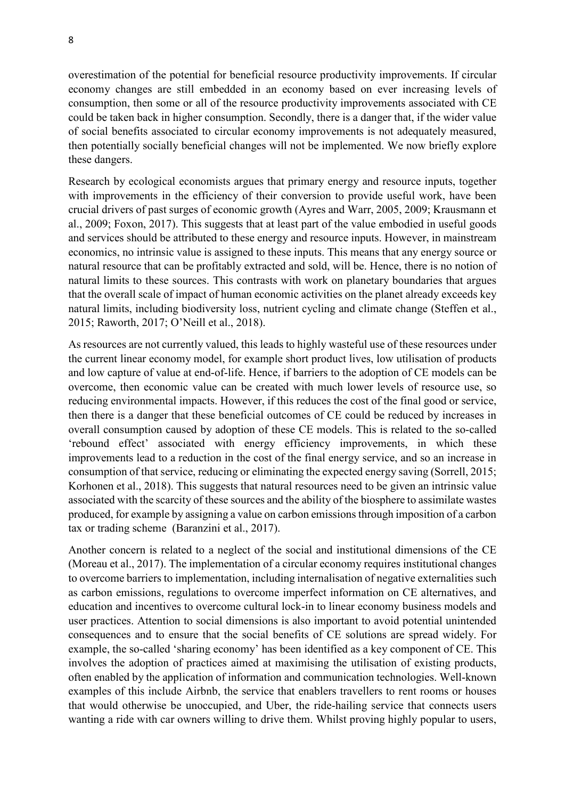overestimation of the potential for beneficial resource productivity improvements. If circular economy changes are still embedded in an economy based on ever increasing levels of consumption, then some or all of the resource productivity improvements associated with CE could be taken back in higher consumption. Secondly, there is a danger that, if the wider value of social benefits associated to circular economy improvements is not adequately measured, then potentially socially beneficial changes will not be implemented. We now briefly explore these dangers.

Research by ecological economists argues that primary energy and resource inputs, together with improvements in the efficiency of their conversion to provide useful work, have been crucial drivers of past surges of economic growth (Ayres and Warr, 2005, 2009; Krausmann et al., 2009; Foxon, 2017). This suggests that at least part of the value embodied in useful goods and services should be attributed to these energy and resource inputs. However, in mainstream economics, no intrinsic value is assigned to these inputs. This means that any energy source or natural resource that can be profitably extracted and sold, will be. Hence, there is no notion of natural limits to these sources. This contrasts with work on planetary boundaries that argues that the overall scale of impact of human economic activities on the planet already exceeds key natural limits, including biodiversity loss, nutrient cycling and climate change (Steffen et al., 2015; Raworth, 2017; O'Neill et al., 2018).

As resources are not currently valued, this leads to highly wasteful use of these resources under the current linear economy model, for example short product lives, low utilisation of products and low capture of value at end-of-life. Hence, if barriers to the adoption of CE models can be overcome, then economic value can be created with much lower levels of resource use, so reducing environmental impacts. However, if this reduces the cost of the final good or service, then there is a danger that these beneficial outcomes of CE could be reduced by increases in overall consumption caused by adoption of these CE models. This is related to the so-called 'rebound effect' associated with energy efficiency improvements, in which these improvements lead to a reduction in the cost of the final energy service, and so an increase in consumption of that service, reducing or eliminating the expected energy saving (Sorrell, 2015; Korhonen et al., 2018). This suggests that natural resources need to be given an intrinsic value associated with the scarcity of these sources and the ability of the biosphere to assimilate wastes produced, for example by assigning a value on carbon emissions through imposition of a carbon tax or trading scheme (Baranzini et al., 2017).

Another concern is related to a neglect of the social and institutional dimensions of the CE (Moreau et al., 2017). The implementation of a circular economy requires institutional changes to overcome barriers to implementation, including internalisation of negative externalities such as carbon emissions, regulations to overcome imperfect information on CE alternatives, and education and incentives to overcome cultural lock-in to linear economy business models and user practices. Attention to social dimensions is also important to avoid potential unintended consequences and to ensure that the social benefits of CE solutions are spread widely. For example, the so-called 'sharing economy' has been identified as a key component of CE. This involves the adoption of practices aimed at maximising the utilisation of existing products, often enabled by the application of information and communication technologies. Well-known examples of this include Airbnb, the service that enablers travellers to rent rooms or houses that would otherwise be unoccupied, and Uber, the ride-hailing service that connects users wanting a ride with car owners willing to drive them. Whilst proving highly popular to users,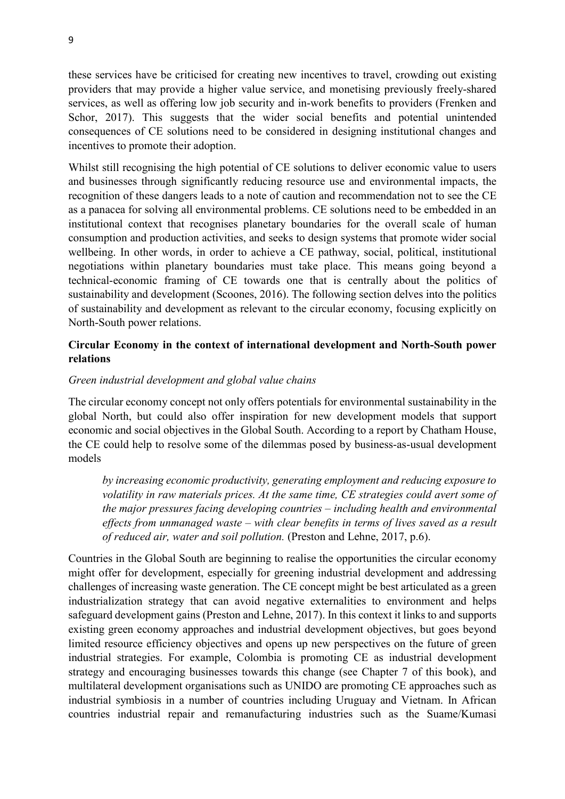these services have be criticised for creating new incentives to travel, crowding out existing providers that may provide a higher value service, and monetising previously freely-shared services, as well as offering low job security and in-work benefits to providers (Frenken and Schor, 2017). This suggests that the wider social benefits and potential unintended consequences of CE solutions need to be considered in designing institutional changes and incentives to promote their adoption.

Whilst still recognising the high potential of CE solutions to deliver economic value to users and businesses through significantly reducing resource use and environmental impacts, the recognition of these dangers leads to a note of caution and recommendation not to see the CE as a panacea for solving all environmental problems. CE solutions need to be embedded in an institutional context that recognises planetary boundaries for the overall scale of human consumption and production activities, and seeks to design systems that promote wider social wellbeing. In other words, in order to achieve a CE pathway, social, political, institutional negotiations within planetary boundaries must take place. This means going beyond a technical-economic framing of CE towards one that is centrally about the politics of sustainability and development (Scoones, 2016). The following section delves into the politics of sustainability and development as relevant to the circular economy, focusing explicitly on North-South power relations.

# **Circular Economy in the context of international development and North-South power relations**

#### *Green industrial development and global value chains*

The circular economy concept not only offers potentials for environmental sustainability in the global North, but could also offer inspiration for new development models that support economic and social objectives in the Global South. According to a report by Chatham House, the CE could help to resolve some of the dilemmas posed by business-as-usual development models

*by increasing economic productivity, generating employment and reducing exposure to volatility in raw materials prices. At the same time, CE strategies could avert some of the major pressures facing developing countries – including health and environmental effects from unmanaged waste – with clear benefits in terms of lives saved as a result of reduced air, water and soil pollution.* (Preston and Lehne, 2017, p.6).

Countries in the Global South are beginning to realise the opportunities the circular economy might offer for development, especially for greening industrial development and addressing challenges of increasing waste generation. The CE concept might be best articulated as a green industrialization strategy that can avoid negative externalities to environment and helps safeguard development gains (Preston and Lehne, 2017). In this context it links to and supports existing green economy approaches and industrial development objectives, but goes beyond limited resource efficiency objectives and opens up new perspectives on the future of green industrial strategies. For example, Colombia is promoting CE as industrial development strategy and encouraging businesses towards this change (see Chapter 7 of this book), and multilateral development organisations such as UNIDO are promoting CE approaches such as industrial symbiosis in a number of countries including Uruguay and Vietnam. In African countries industrial repair and remanufacturing industries such as the Suame/Kumasi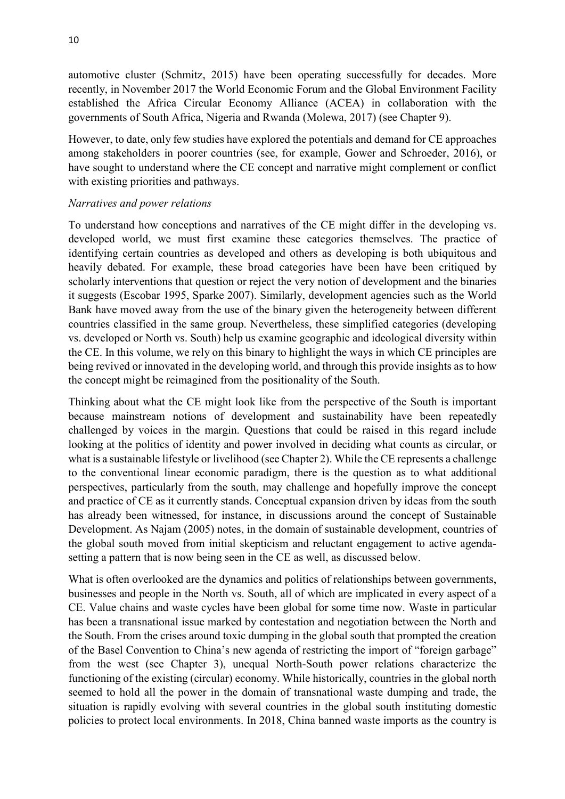automotive cluster (Schmitz, 2015) have been operating successfully for decades. More recently, in November 2017 the World Economic Forum and the Global Environment Facility established the Africa Circular Economy Alliance (ACEA) in collaboration with the governments of South Africa, Nigeria and Rwanda (Molewa, 2017) (see Chapter 9).

However, to date, only few studies have explored the potentials and demand for CE approaches among stakeholders in poorer countries (see, for example, Gower and Schroeder, 2016), or have sought to understand where the CE concept and narrative might complement or conflict with existing priorities and pathways.

#### *Narratives and power relations*

To understand how conceptions and narratives of the CE might differ in the developing vs. developed world, we must first examine these categories themselves. The practice of identifying certain countries as developed and others as developing is both ubiquitous and heavily debated. For example, these broad categories have been have been critiqued by scholarly interventions that question or reject the very notion of development and the binaries it suggests (Escobar 1995, Sparke 2007). Similarly, development agencies such as the World Bank have moved away from the use of the binary given the heterogeneity between different countries classified in the same group. Nevertheless, these simplified categories (developing vs. developed or North vs. South) help us examine geographic and ideological diversity within the CE. In this volume, we rely on this binary to highlight the ways in which CE principles are being revived or innovated in the developing world, and through this provide insights as to how the concept might be reimagined from the positionality of the South.

Thinking about what the CE might look like from the perspective of the South is important because mainstream notions of development and sustainability have been repeatedly challenged by voices in the margin. Questions that could be raised in this regard include looking at the politics of identity and power involved in deciding what counts as circular, or what is a sustainable lifestyle or livelihood (see Chapter 2). While the CE represents a challenge to the conventional linear economic paradigm, there is the question as to what additional perspectives, particularly from the south, may challenge and hopefully improve the concept and practice of CE as it currently stands. Conceptual expansion driven by ideas from the south has already been witnessed, for instance, in discussions around the concept of Sustainable Development. As Najam (2005) notes, in the domain of sustainable development, countries of the global south moved from initial skepticism and reluctant engagement to active agendasetting a pattern that is now being seen in the CE as well, as discussed below.

What is often overlooked are the dynamics and politics of relationships between governments, businesses and people in the North vs. South, all of which are implicated in every aspect of a CE. Value chains and waste cycles have been global for some time now. Waste in particular has been a transnational issue marked by contestation and negotiation between the North and the South. From the crises around toxic dumping in the global south that prompted the creation of the Basel Convention to China's new agenda of restricting the import of "foreign garbage" from the west (see Chapter 3), unequal North-South power relations characterize the functioning of the existing (circular) economy. While historically, countries in the global north seemed to hold all the power in the domain of transnational waste dumping and trade, the situation is rapidly evolving with several countries in the global south instituting domestic policies to protect local environments. In 2018, China banned waste imports as the country is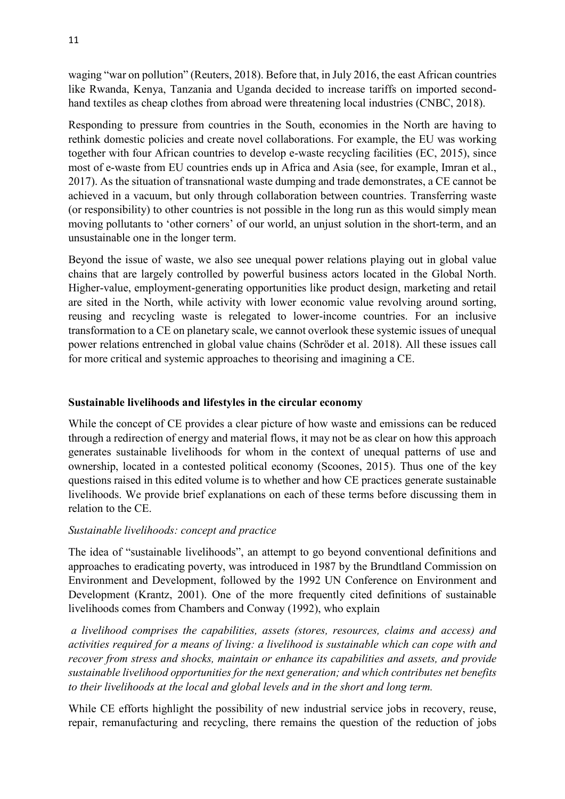waging "war on pollution" (Reuters, 2018). Before that, in July 2016, the east African countries like Rwanda, Kenya, Tanzania and Uganda decided to increase tariffs on imported secondhand textiles as cheap clothes from abroad were threatening local industries (CNBC, 2018).

Responding to pressure from countries in the South, economies in the North are having to rethink domestic policies and create novel collaborations. For example, the EU was working together with four African countries to develop e-waste recycling facilities (EC, 2015), since most of e-waste from EU countries ends up in Africa and Asia (see, for example, Imran et al., 2017). As the situation of transnational waste dumping and trade demonstrates, a CE cannot be achieved in a vacuum, but only through collaboration between countries. Transferring waste (or responsibility) to other countries is not possible in the long run as this would simply mean moving pollutants to 'other corners' of our world, an unjust solution in the short-term, and an unsustainable one in the longer term.

Beyond the issue of waste, we also see unequal power relations playing out in global value chains that are largely controlled by powerful business actors located in the Global North. Higher-value, employment-generating opportunities like product design, marketing and retail are sited in the North, while activity with lower economic value revolving around sorting, reusing and recycling waste is relegated to lower-income countries. For an inclusive transformation to a CE on planetary scale, we cannot overlook these systemic issues of unequal power relations entrenched in global value chains (Schröder et al. 2018). All these issues call for more critical and systemic approaches to theorising and imagining a CE.

# **Sustainable livelihoods and lifestyles in the circular economy**

While the concept of CE provides a clear picture of how waste and emissions can be reduced through a redirection of energy and material flows, it may not be as clear on how this approach generates sustainable livelihoods for whom in the context of unequal patterns of use and ownership, located in a contested political economy (Scoones, 2015). Thus one of the key questions raised in this edited volume is to whether and how CE practices generate sustainable livelihoods. We provide brief explanations on each of these terms before discussing them in relation to the CE.

# *Sustainable livelihoods: concept and practice*

The idea of "sustainable livelihoods", an attempt to go beyond conventional definitions and approaches to eradicating poverty, was introduced in 1987 by the Brundtland Commission on Environment and Development, followed by the 1992 UN Conference on Environment and Development (Krantz, 2001). One of the more frequently cited definitions of sustainable livelihoods comes from Chambers and Conway (1992), who explain

*a livelihood comprises the capabilities, assets (stores, resources, claims and access) and activities required for a means of living: a livelihood is sustainable which can cope with and recover from stress and shocks, maintain or enhance its capabilities and assets, and provide sustainable livelihood opportunities for the next generation; and which contributes net benefits to their livelihoods at the local and global levels and in the short and long term.*

While CE efforts highlight the possibility of new industrial service jobs in recovery, reuse, repair, remanufacturing and recycling, there remains the question of the reduction of jobs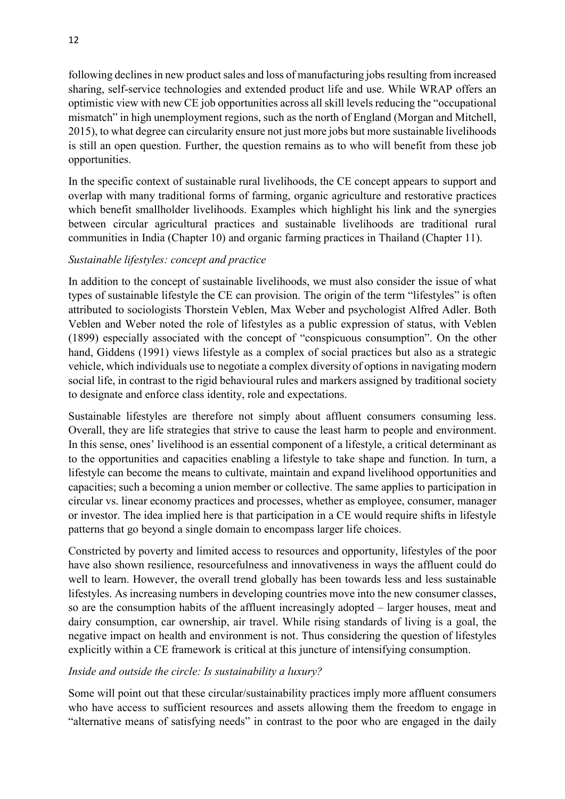following declines in new product sales and loss of manufacturing jobs resulting from increased sharing, self-service technologies and extended product life and use. While WRAP offers an optimistic view with new CE job opportunities across all skill levels reducing the "occupational mismatch" in high unemployment regions, such as the north of England (Morgan and Mitchell, 2015), to what degree can circularity ensure not just more jobs but more sustainable livelihoods is still an open question. Further, the question remains as to who will benefit from these job opportunities.

In the specific context of sustainable rural livelihoods, the CE concept appears to support and overlap with many traditional forms of farming, organic agriculture and restorative practices which benefit smallholder livelihoods. Examples which highlight his link and the synergies between circular agricultural practices and sustainable livelihoods are traditional rural communities in India (Chapter 10) and organic farming practices in Thailand (Chapter 11).

# *Sustainable lifestyles: concept and practice*

In addition to the concept of sustainable livelihoods, we must also consider the issue of what types of sustainable lifestyle the CE can provision. The origin of the term "lifestyles" is often attributed to sociologists Thorstein Veblen, Max Weber and psychologist Alfred Adler. Both Veblen and Weber noted the role of lifestyles as a public expression of status, with Veblen (1899) especially associated with the concept of "conspicuous consumption". On the other hand, Giddens (1991) views lifestyle as a complex of social practices but also as a strategic vehicle, which individuals use to negotiate a complex diversity of options in navigating modern social life, in contrast to the rigid behavioural rules and markers assigned by traditional society to designate and enforce class identity, role and expectations.

Sustainable lifestyles are therefore not simply about affluent consumers consuming less. Overall, they are life strategies that strive to cause the least harm to people and environment. In this sense, ones' livelihood is an essential component of a lifestyle, a critical determinant as to the opportunities and capacities enabling a lifestyle to take shape and function. In turn, a lifestyle can become the means to cultivate, maintain and expand livelihood opportunities and capacities; such a becoming a union member or collective. The same applies to participation in circular vs. linear economy practices and processes, whether as employee, consumer, manager or investor. The idea implied here is that participation in a CE would require shifts in lifestyle patterns that go beyond a single domain to encompass larger life choices.

Constricted by poverty and limited access to resources and opportunity, lifestyles of the poor have also shown resilience, resourcefulness and innovativeness in ways the affluent could do well to learn. However, the overall trend globally has been towards less and less sustainable lifestyles. As increasing numbers in developing countries move into the new consumer classes, so are the consumption habits of the affluent increasingly adopted – larger houses, meat and dairy consumption, car ownership, air travel. While rising standards of living is a goal, the negative impact on health and environment is not. Thus considering the question of lifestyles explicitly within a CE framework is critical at this juncture of intensifying consumption.

### *Inside and outside the circle: Is sustainability a luxury?*

Some will point out that these circular/sustainability practices imply more affluent consumers who have access to sufficient resources and assets allowing them the freedom to engage in "alternative means of satisfying needs" in contrast to the poor who are engaged in the daily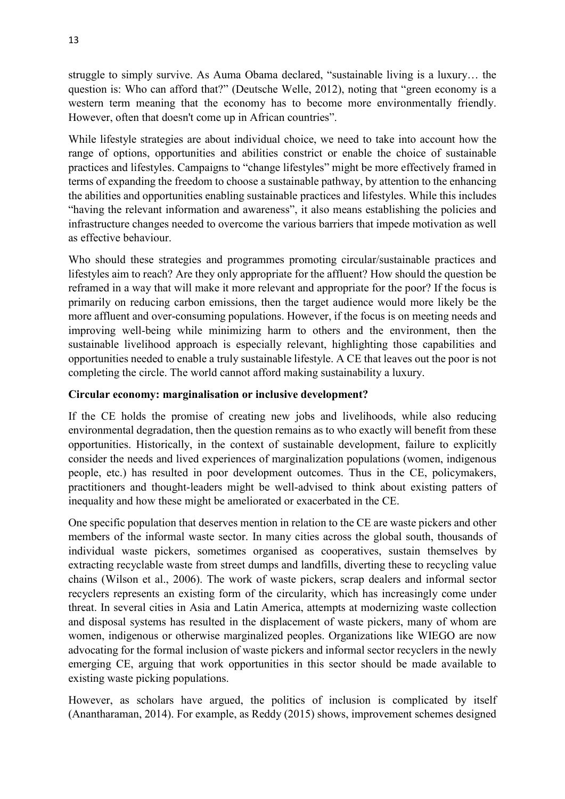struggle to simply survive. As Auma Obama declared, "sustainable living is a luxury… the question is: Who can afford that?" (Deutsche Welle, 2012), noting that "green economy is a western term meaning that the economy has to become more environmentally friendly. However, often that doesn't come up in African countries".

While lifestyle strategies are about individual choice, we need to take into account how the range of options, opportunities and abilities constrict or enable the choice of sustainable practices and lifestyles. Campaigns to "change lifestyles" might be more effectively framed in terms of expanding the freedom to choose a sustainable pathway, by attention to the enhancing the abilities and opportunities enabling sustainable practices and lifestyles. While this includes "having the relevant information and awareness", it also means establishing the policies and infrastructure changes needed to overcome the various barriers that impede motivation as well as effective behaviour.

Who should these strategies and programmes promoting circular/sustainable practices and lifestyles aim to reach? Are they only appropriate for the affluent? How should the question be reframed in a way that will make it more relevant and appropriate for the poor? If the focus is primarily on reducing carbon emissions, then the target audience would more likely be the more affluent and over-consuming populations. However, if the focus is on meeting needs and improving well-being while minimizing harm to others and the environment, then the sustainable livelihood approach is especially relevant, highlighting those capabilities and opportunities needed to enable a truly sustainable lifestyle. A CE that leaves out the poor is not completing the circle. The world cannot afford making sustainability a luxury.

# **Circular economy: marginalisation or inclusive development?**

If the CE holds the promise of creating new jobs and livelihoods, while also reducing environmental degradation, then the question remains as to who exactly will benefit from these opportunities. Historically, in the context of sustainable development, failure to explicitly consider the needs and lived experiences of marginalization populations (women, indigenous people, etc.) has resulted in poor development outcomes. Thus in the CE, policymakers, practitioners and thought-leaders might be well-advised to think about existing patters of inequality and how these might be ameliorated or exacerbated in the CE.

One specific population that deserves mention in relation to the CE are waste pickers and other members of the informal waste sector. In many cities across the global south, thousands of individual waste pickers, sometimes organised as cooperatives, sustain themselves by extracting recyclable waste from street dumps and landfills, diverting these to recycling value chains (Wilson et al., 2006). The work of waste pickers, scrap dealers and informal sector recyclers represents an existing form of the circularity, which has increasingly come under threat. In several cities in Asia and Latin America, attempts at modernizing waste collection and disposal systems has resulted in the displacement of waste pickers, many of whom are women, indigenous or otherwise marginalized peoples. Organizations like WIEGO are now advocating for the formal inclusion of waste pickers and informal sector recyclers in the newly emerging CE, arguing that work opportunities in this sector should be made available to existing waste picking populations.

However, as scholars have argued, the politics of inclusion is complicated by itself (Anantharaman, 2014). For example, as Reddy (2015) shows, improvement schemes designed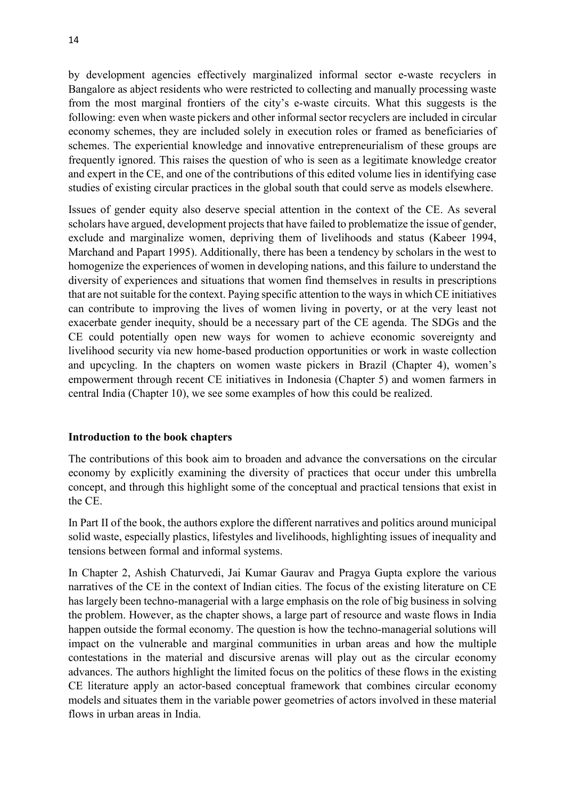by development agencies effectively marginalized informal sector e-waste recyclers in Bangalore as abject residents who were restricted to collecting and manually processing waste from the most marginal frontiers of the city's e-waste circuits. What this suggests is the following: even when waste pickers and other informal sector recyclers are included in circular economy schemes, they are included solely in execution roles or framed as beneficiaries of schemes. The experiential knowledge and innovative entrepreneurialism of these groups are frequently ignored. This raises the question of who is seen as a legitimate knowledge creator and expert in the CE, and one of the contributions of this edited volume lies in identifying case studies of existing circular practices in the global south that could serve as models elsewhere.

Issues of gender equity also deserve special attention in the context of the CE. As several scholars have argued, development projects that have failed to problematize the issue of gender, exclude and marginalize women, depriving them of livelihoods and status (Kabeer 1994, Marchand and Papart 1995). Additionally, there has been a tendency by scholars in the west to homogenize the experiences of women in developing nations, and this failure to understand the diversity of experiences and situations that women find themselves in results in prescriptions that are not suitable for the context. Paying specific attention to the ways in which CE initiatives can contribute to improving the lives of women living in poverty, or at the very least not exacerbate gender inequity, should be a necessary part of the CE agenda. The SDGs and the CE could potentially open new ways for women to achieve economic sovereignty and livelihood security via new home-based production opportunities or work in waste collection and upcycling. In the chapters on women waste pickers in Brazil (Chapter 4), women's empowerment through recent CE initiatives in Indonesia (Chapter 5) and women farmers in central India (Chapter 10), we see some examples of how this could be realized.

### **Introduction to the book chapters**

The contributions of this book aim to broaden and advance the conversations on the circular economy by explicitly examining the diversity of practices that occur under this umbrella concept, and through this highlight some of the conceptual and practical tensions that exist in the CE.

In Part II of the book, the authors explore the different narratives and politics around municipal solid waste, especially plastics, lifestyles and livelihoods, highlighting issues of inequality and tensions between formal and informal systems.

In Chapter 2, Ashish Chaturvedi, Jai Kumar Gaurav and Pragya Gupta explore the various narratives of the CE in the context of Indian cities. The focus of the existing literature on CE has largely been techno-managerial with a large emphasis on the role of big business in solving the problem. However, as the chapter shows, a large part of resource and waste flows in India happen outside the formal economy. The question is how the techno-managerial solutions will impact on the vulnerable and marginal communities in urban areas and how the multiple contestations in the material and discursive arenas will play out as the circular economy advances. The authors highlight the limited focus on the politics of these flows in the existing CE literature apply an actor-based conceptual framework that combines circular economy models and situates them in the variable power geometries of actors involved in these material flows in urban areas in India.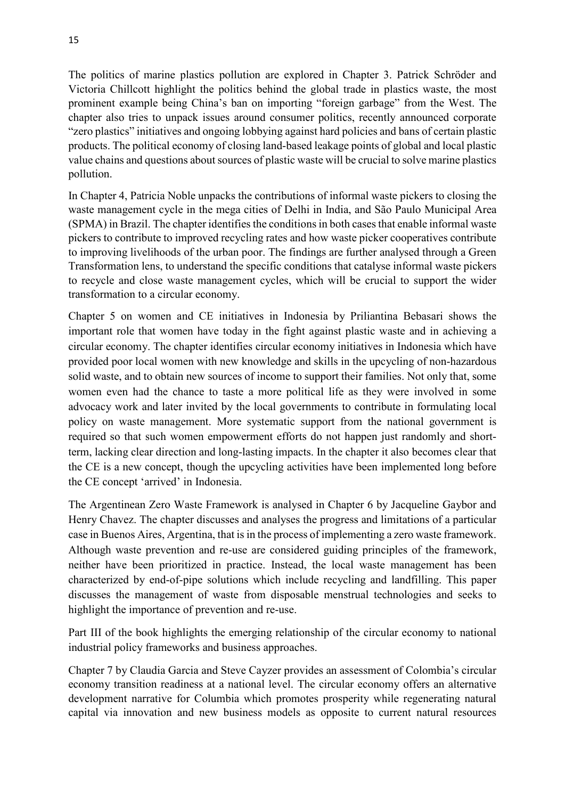The politics of marine plastics pollution are explored in Chapter 3. Patrick Schröder and Victoria Chillcott highlight the politics behind the global trade in plastics waste, the most prominent example being China's ban on importing "foreign garbage" from the West. The chapter also tries to unpack issues around consumer politics, recently announced corporate "zero plastics" initiatives and ongoing lobbying against hard policies and bans of certain plastic products. The political economy of closing land-based leakage points of global and local plastic value chains and questions about sources of plastic waste will be crucial to solve marine plastics pollution.

In Chapter 4, Patricia Noble unpacks the contributions of informal waste pickers to closing the waste management cycle in the mega cities of Delhi in India, and São Paulo Municipal Area (SPMA) in Brazil. The chapter identifies the conditions in both cases that enable informal waste pickers to contribute to improved recycling rates and how waste picker cooperatives contribute to improving livelihoods of the urban poor. The findings are further analysed through a Green Transformation lens, to understand the specific conditions that catalyse informal waste pickers to recycle and close waste management cycles, which will be crucial to support the wider transformation to a circular economy.

Chapter 5 on women and CE initiatives in Indonesia by Priliantina Bebasari shows the important role that women have today in the fight against plastic waste and in achieving a circular economy. The chapter identifies circular economy initiatives in Indonesia which have provided poor local women with new knowledge and skills in the upcycling of non-hazardous solid waste, and to obtain new sources of income to support their families. Not only that, some women even had the chance to taste a more political life as they were involved in some advocacy work and later invited by the local governments to contribute in formulating local policy on waste management. More systematic support from the national government is required so that such women empowerment efforts do not happen just randomly and shortterm, lacking clear direction and long-lasting impacts. In the chapter it also becomes clear that the CE is a new concept, though the upcycling activities have been implemented long before the CE concept 'arrived' in Indonesia.

The Argentinean Zero Waste Framework is analysed in Chapter 6 by Jacqueline Gaybor and Henry Chavez. The chapter discusses and analyses the progress and limitations of a particular case in Buenos Aires, Argentina, that is in the process of implementing a zero waste framework. Although waste prevention and re-use are considered guiding principles of the framework, neither have been prioritized in practice. Instead, the local waste management has been characterized by end-of-pipe solutions which include recycling and landfilling. This paper discusses the management of waste from disposable menstrual technologies and seeks to highlight the importance of prevention and re-use.

Part III of the book highlights the emerging relationship of the circular economy to national industrial policy frameworks and business approaches.

Chapter 7 by Claudia Garcia and Steve Cayzer provides an assessment of Colombia's circular economy transition readiness at a national level. The circular economy offers an alternative development narrative for Columbia which promotes prosperity while regenerating natural capital via innovation and new business models as opposite to current natural resources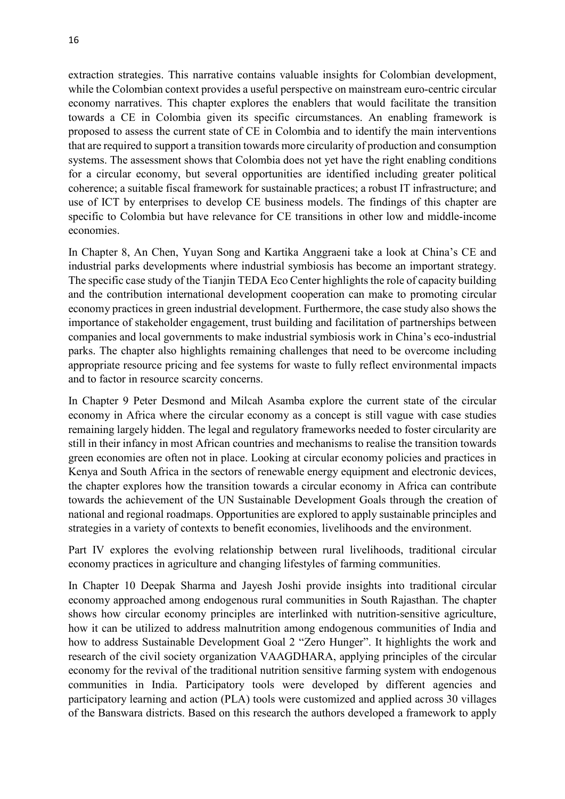extraction strategies. This narrative contains valuable insights for Colombian development, while the Colombian context provides a useful perspective on mainstream euro-centric circular economy narratives. This chapter explores the enablers that would facilitate the transition towards a CE in Colombia given its specific circumstances. An enabling framework is proposed to assess the current state of CE in Colombia and to identify the main interventions that are required to support a transition towards more circularity of production and consumption systems. The assessment shows that Colombia does not yet have the right enabling conditions for a circular economy, but several opportunities are identified including greater political coherence; a suitable fiscal framework for sustainable practices; a robust IT infrastructure; and use of ICT by enterprises to develop CE business models. The findings of this chapter are specific to Colombia but have relevance for CE transitions in other low and middle-income economies.

In Chapter 8, An Chen, Yuyan Song and Kartika Anggraeni take a look at China's CE and industrial parks developments where industrial symbiosis has become an important strategy. The specific case study of the Tianjin TEDA Eco Center highlights the role of capacity building and the contribution international development cooperation can make to promoting circular economy practices in green industrial development. Furthermore, the case study also shows the importance of stakeholder engagement, trust building and facilitation of partnerships between companies and local governments to make industrial symbiosis work in China's eco-industrial parks. The chapter also highlights remaining challenges that need to be overcome including appropriate resource pricing and fee systems for waste to fully reflect environmental impacts and to factor in resource scarcity concerns.

In Chapter 9 Peter Desmond and Milcah Asamba explore the current state of the circular economy in Africa where the circular economy as a concept is still vague with case studies remaining largely hidden. The legal and regulatory frameworks needed to foster circularity are still in their infancy in most African countries and mechanisms to realise the transition towards green economies are often not in place. Looking at circular economy policies and practices in Kenya and South Africa in the sectors of renewable energy equipment and electronic devices, the chapter explores how the transition towards a circular economy in Africa can contribute towards the achievement of the UN Sustainable Development Goals through the creation of national and regional roadmaps. Opportunities are explored to apply sustainable principles and strategies in a variety of contexts to benefit economies, livelihoods and the environment.

Part IV explores the evolving relationship between rural livelihoods, traditional circular economy practices in agriculture and changing lifestyles of farming communities.

In Chapter 10 Deepak Sharma and Jayesh Joshi provide insights into traditional circular economy approached among endogenous rural communities in South Rajasthan. The chapter shows how circular economy principles are interlinked with nutrition-sensitive agriculture, how it can be utilized to address malnutrition among endogenous communities of India and how to address Sustainable Development Goal 2 "Zero Hunger". It highlights the work and research of the civil society organization VAAGDHARA, applying principles of the circular economy for the revival of the traditional nutrition sensitive farming system with endogenous communities in India. Participatory tools were developed by different agencies and participatory learning and action (PLA) tools were customized and applied across 30 villages of the Banswara districts. Based on this research the authors developed a framework to apply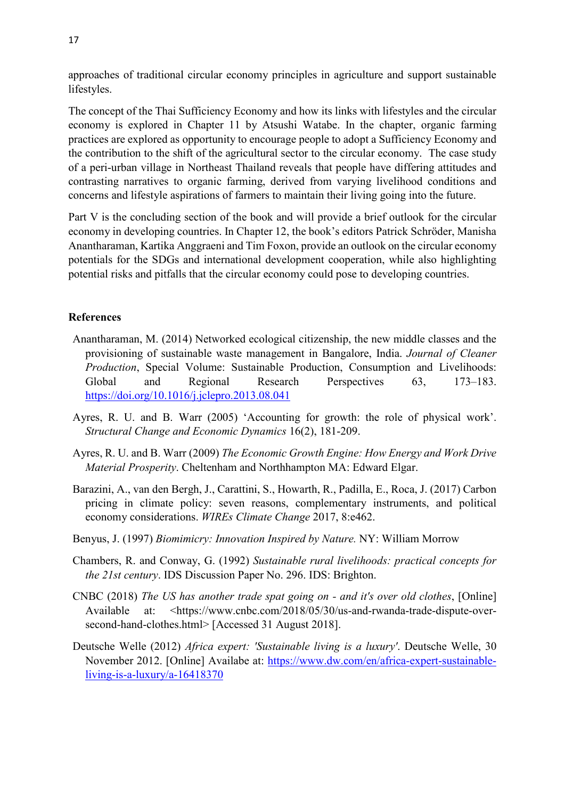approaches of traditional circular economy principles in agriculture and support sustainable lifestyles.

The concept of the Thai Sufficiency Economy and how its links with lifestyles and the circular economy is explored in Chapter 11 by Atsushi Watabe. In the chapter, organic farming practices are explored as opportunity to encourage people to adopt a Sufficiency Economy and the contribution to the shift of the agricultural sector to the circular economy. The case study of a peri-urban village in Northeast Thailand reveals that people have differing attitudes and contrasting narratives to organic farming, derived from varying livelihood conditions and concerns and lifestyle aspirations of farmers to maintain their living going into the future.

Part V is the concluding section of the book and will provide a brief outlook for the circular economy in developing countries. In Chapter 12, the book's editors Patrick Schröder, Manisha Anantharaman, Kartika Anggraeni and Tim Foxon, provide an outlook on the circular economy potentials for the SDGs and international development cooperation, while also highlighting potential risks and pitfalls that the circular economy could pose to developing countries.

### **References**

- Anantharaman, M. (2014) Networked ecological citizenship, the new middle classes and the provisioning of sustainable waste management in Bangalore, India. *Journal of Cleaner Production*, Special Volume: Sustainable Production, Consumption and Livelihoods: Global and Regional Research Perspectives 63, 173–183. <https://doi.org/10.1016/j.jclepro.2013.08.041>
- Ayres, R. U. and B. Warr (2005) 'Accounting for growth: the role of physical work'. *Structural Change and Economic Dynamics* 16(2), 181-209.
- Ayres, R. U. and B. Warr (2009) *The Economic Growth Engine: How Energy and Work Drive Material Prosperity*. Cheltenham and Northhampton MA: Edward Elgar.
- Barazini, A., van den Bergh, J., Carattini, S., Howarth, R., Padilla, E., Roca, J. (2017) Carbon pricing in climate policy: seven reasons, complementary instruments, and political economy considerations. *WIREs Climate Change* 2017, 8:e462.
- Benyus, J. (1997) *Biomimicry: Innovation Inspired by Nature.* NY: William Morrow
- Chambers, R. and Conway, G. (1992) *Sustainable rural livelihoods: practical concepts for the 21st century*. IDS Discussion Paper No. 296. IDS: Brighton.
- CNBC (2018) *The US has another trade spat going on - and it's over old clothes*, [Online] Available at: <https://www.cnbc.com/2018/05/30/us-and-rwanda-trade-dispute-oversecond-hand-clothes.html> [Accessed 31 August 2018].
- Deutsche Welle (2012) *Africa expert: 'Sustainable living is a luxury'*. Deutsche Welle, 30 November 2012. [Online] Availabe at: [https://www.dw.com/en/africa-expert-sustainable](https://www.dw.com/en/africa-expert-sustainable-living-is-a-luxury/a-16418370)[living-is-a-luxury/a-16418370](https://www.dw.com/en/africa-expert-sustainable-living-is-a-luxury/a-16418370)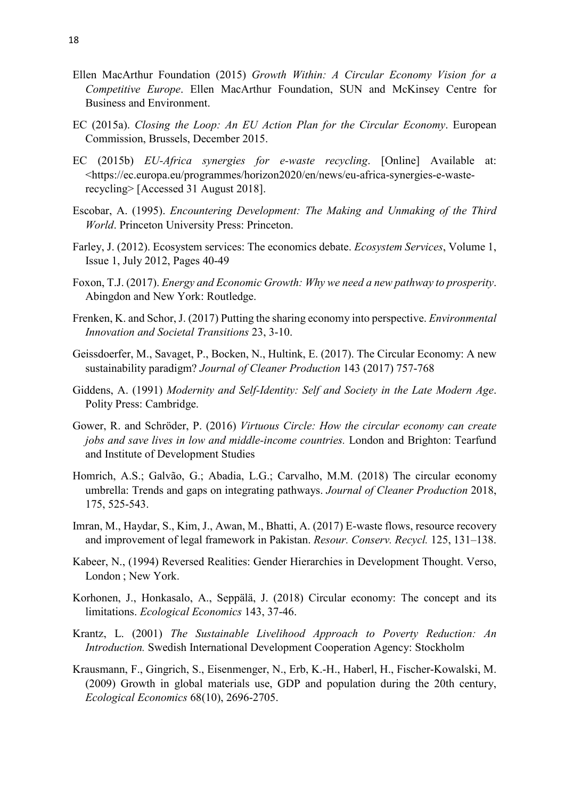- Ellen MacArthur Foundation (2015) *Growth Within: A Circular Economy Vision for a Competitive Europe*. Ellen MacArthur Foundation, SUN and McKinsey Centre for Business and Environment.
- EC (2015a). *Closing the Loop: An EU Action Plan for the Circular Economy*. European Commission, Brussels, December 2015.
- EC (2015b) *EU-Africa synergies for e-waste recycling*. [Online] Available at: <https://ec.europa.eu/programmes/horizon2020/en/news/eu-africa-synergies-e-wasterecycling> [Accessed 31 August 2018].
- Escobar, A. (1995). *Encountering Development: The Making and Unmaking of the Third World*. Princeton University Press: Princeton.
- Farley, J. (2012). Ecosystem services: The economics debate. *Ecosystem Services*, Volume 1, Issue 1, July 2012, Pages 40-49
- Foxon, T.J. (2017). *Energy and Economic Growth: Why we need a new pathway to prosperity*. Abingdon and New York: Routledge.
- Frenken, K. and Schor, J. (2017) Putting the sharing economy into perspective. *Environmental Innovation and Societal Transitions* 23, 3-10.
- Geissdoerfer, M., Savaget, P., Bocken, N., Hultink, E. (2017). The Circular Economy: A new sustainability paradigm? *Journal of Cleaner Production* 143 (2017) 757-768
- Giddens, A. (1991) *Modernity and Self-Identity: Self and Society in the Late Modern Age*. Polity Press: Cambridge.
- Gower, R. and Schröder, P. (2016) *Virtuous Circle: How the circular economy can create jobs and save lives in low and middle-income countries.* London and Brighton: Tearfund and Institute of Development Studies
- Homrich, A.S.; Galvão, G.; Abadia, L.G.; Carvalho, M.M. (2018) The circular economy umbrella: Trends and gaps on integrating pathways. *Journal of Cleaner Production* 2018, 175, 525-543.
- Imran, M., Haydar, S., Kim, J., Awan, M., Bhatti, A. (2017) E-waste flows, resource recovery and improvement of legal framework in Pakistan. *Resour. Conserv. Recycl.* 125, 131–138.
- Kabeer, N., (1994) Reversed Realities: Gender Hierarchies in Development Thought. Verso, London ; New York.
- Korhonen, J., Honkasalo, A., Seppälä, J. (2018) Circular economy: The concept and its limitations. *Ecological Economics* 143, 37-46.
- Krantz, L. (2001) *The Sustainable Livelihood Approach to Poverty Reduction: An Introduction.* Swedish International Development Cooperation Agency: Stockholm
- Krausmann, F., Gingrich, S., Eisenmenger, N., Erb, K.-H., Haberl, H., Fischer-Kowalski, M. (2009) Growth in global materials use, GDP and population during the 20th century, *Ecological Economics* 68(10), 2696-2705.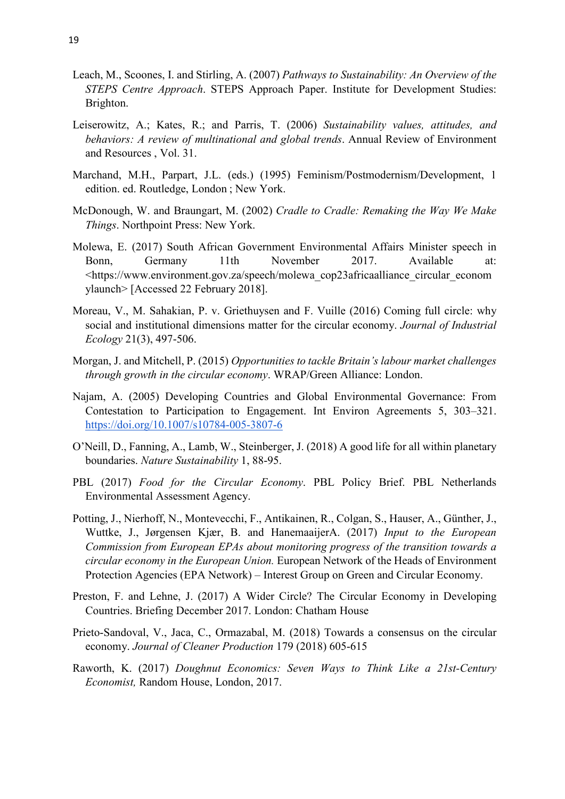- Leach, M., Scoones, I. and Stirling, A. (2007) *Pathways to Sustainability: An Overview of the STEPS Centre Approach*. STEPS Approach Paper. Institute for Development Studies: Brighton.
- Leiserowitz, A.; Kates, R.; and Parris, T. (2006) *Sustainability values, attitudes, and behaviors: A review of multinational and global trends*. Annual Review of Environment and Resources , Vol. 31.
- Marchand, M.H., Parpart, J.L. (eds.) (1995) Feminism/Postmodernism/Development, 1 edition. ed. Routledge, London ; New York.
- McDonough, W. and Braungart, M. (2002) *Cradle to Cradle: Remaking the Way We Make Things*. Northpoint Press: New York.
- Molewa, E. (2017) South African Government Environmental Affairs Minister speech in Bonn, Germany 11th November 2017. Available at: <https://www.environment.gov.za/speech/molewa\_cop23africaalliance\_circular\_econom ylaunch> [Accessed 22 February 2018].
- Moreau, V., M. Sahakian, P. v. Griethuysen and F. Vuille (2016) Coming full circle: why social and institutional dimensions matter for the circular economy. *Journal of Industrial Ecology* 21(3), 497-506.
- Morgan, J. and Mitchell, P. (2015) *Opportunities to tackle Britain's labour market challenges through growth in the circular economy*. WRAP/Green Alliance: London.
- Najam, A. (2005) Developing Countries and Global Environmental Governance: From Contestation to Participation to Engagement. Int Environ Agreements 5, 303–321[.](https://doi.org/10.1007/s10784-005-3807-6) <https://doi.org/10.1007/s10784-005-3807-6>
- O'Neill, D., Fanning, A., Lamb, W., Steinberger, J. (2018) A good life for all within planetary boundaries. *Nature Sustainability* 1, 88-95.
- PBL (2017) *Food for the Circular Economy*. PBL Policy Brief. PBL Netherlands Environmental Assessment Agency.
- Potting, J., Nierhoff, N., Montevecchi, F., Antikainen, R., Colgan, S., Hauser, A., Günther, J., Wuttke, J., Jørgensen Kjær, B. and HanemaaijerA. (2017) *Input to the European Commission from European EPAs about monitoring progress of the transition towards a circular economy in the European Union.* European Network of the Heads of Environment Protection Agencies (EPA Network) – Interest Group on Green and Circular Economy.
- Preston, F. and Lehne, J. (2017) A Wider Circle? The Circular Economy in Developing Countries. Briefing December 2017. London: Chatham House
- Prieto-Sandoval, V., Jaca, C., Ormazabal, M. (2018) Towards a consensus on the circular economy. *Journal of Cleaner Production* 179 (2018) 605-615
- Raworth, K. (2017) *Doughnut Economics: Seven Ways to Think Like a 21st-Century Economist,* Random House, London, 2017.